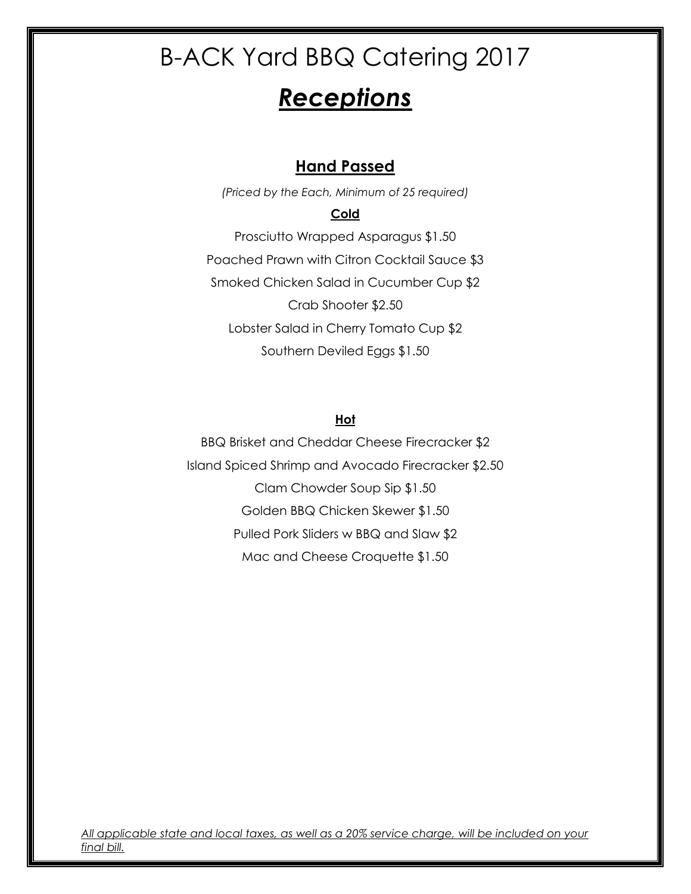# *Receptions*

### **Hand Passed**

*(Priced by the Each, Minimum of 25 required)*

#### **Cold**

Prosciutto Wrapped Asparagus \$1.50 Poached Prawn with Citron Cocktail Sauce \$3 Smoked Chicken Salad in Cucumber Cup \$2 Crab Shooter \$2.50 Lobster Salad in Cherry Tomato Cup \$2 Southern Deviled Eggs \$1.50

#### **Hot**

BBQ Brisket and Cheddar Cheese Firecracker \$2 Island Spiced Shrimp and Avocado Firecracker \$2.50 Clam Chowder Soup Sip \$1.50 Golden BBQ Chicken Skewer \$1.50 Pulled Pork Sliders w BBQ and Slaw \$2 Mac and Cheese Croquette \$1.50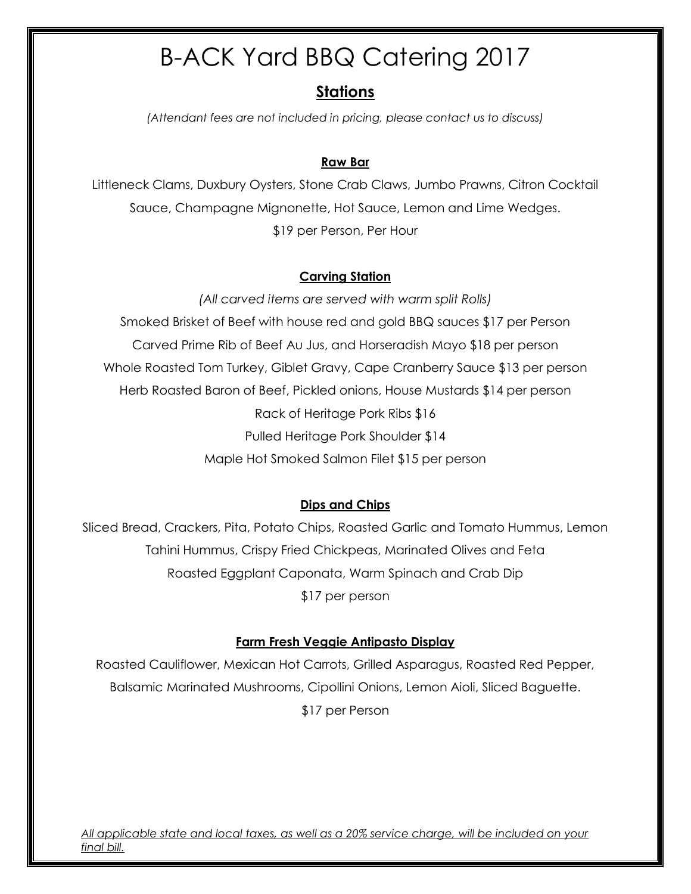### **Stations**

*(Attendant fees are not included in pricing, please contact us to discuss)*

#### **Raw Bar**

Littleneck Clams, Duxbury Oysters, Stone Crab Claws, Jumbo Prawns, Citron Cocktail Sauce, Champagne Mignonette, Hot Sauce, Lemon and Lime Wedges. \$19 per Person, Per Hour

#### **Carving Station**

*(All carved items are served with warm split Rolls)* Smoked Brisket of Beef with house red and gold BBQ sauces \$17 per Person Carved Prime Rib of Beef Au Jus, and Horseradish Mayo \$18 per person Whole Roasted Tom Turkey, Giblet Gravy, Cape Cranberry Sauce \$13 per person Herb Roasted Baron of Beef, Pickled onions, House Mustards \$14 per person Rack of Heritage Pork Ribs \$16 Pulled Heritage Pork Shoulder \$14 Maple Hot Smoked Salmon Filet \$15 per person

#### **Dips and Chips**

Sliced Bread, Crackers, Pita, Potato Chips, Roasted Garlic and Tomato Hummus, Lemon Tahini Hummus, Crispy Fried Chickpeas, Marinated Olives and Feta Roasted Eggplant Caponata, Warm Spinach and Crab Dip \$17 per person

#### **Farm Fresh Veggie Antipasto Display**

Roasted Cauliflower, Mexican Hot Carrots, Grilled Asparagus, Roasted Red Pepper, Balsamic Marinated Mushrooms, Cipollini Onions, Lemon Aioli, Sliced Baguette. \$17 per Person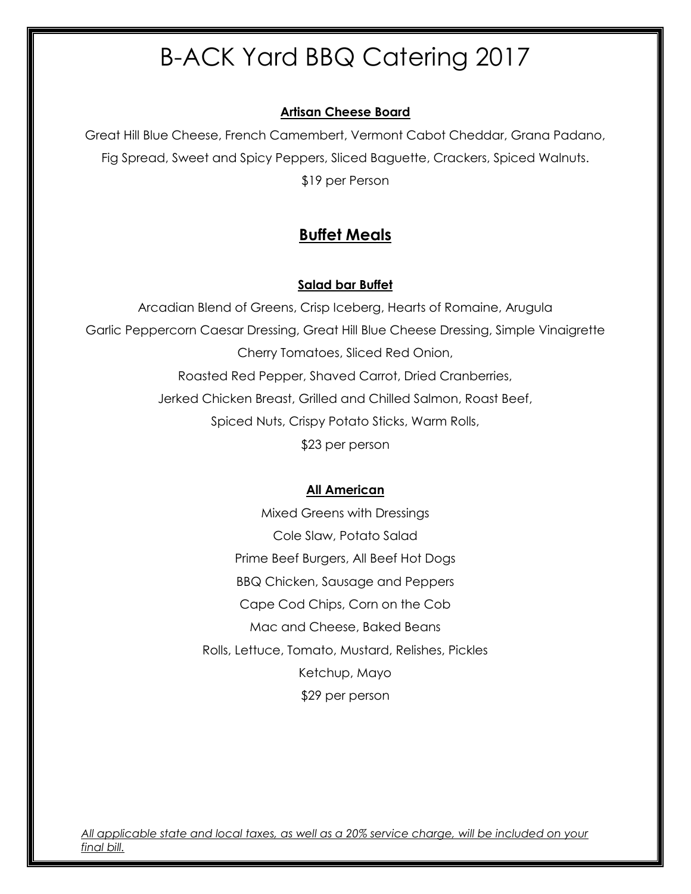#### **Artisan Cheese Board**

Great Hill Blue Cheese, French Camembert, Vermont Cabot Cheddar, Grana Padano, Fig Spread, Sweet and Spicy Peppers, Sliced Baguette, Crackers, Spiced Walnuts. \$19 per Person

### **Buffet Meals**

#### **Salad bar Buffet**

Arcadian Blend of Greens, Crisp Iceberg, Hearts of Romaine, Arugula Garlic Peppercorn Caesar Dressing, Great Hill Blue Cheese Dressing, Simple Vinaigrette Cherry Tomatoes, Sliced Red Onion, Roasted Red Pepper, Shaved Carrot, Dried Cranberries, Jerked Chicken Breast, Grilled and Chilled Salmon, Roast Beef, Spiced Nuts, Crispy Potato Sticks, Warm Rolls, \$23 per person

#### **All American**

Mixed Greens with Dressings Cole Slaw, Potato Salad Prime Beef Burgers, All Beef Hot Dogs BBQ Chicken, Sausage and Peppers Cape Cod Chips, Corn on the Cob Mac and Cheese, Baked Beans Rolls, Lettuce, Tomato, Mustard, Relishes, Pickles Ketchup, Mayo \$29 per person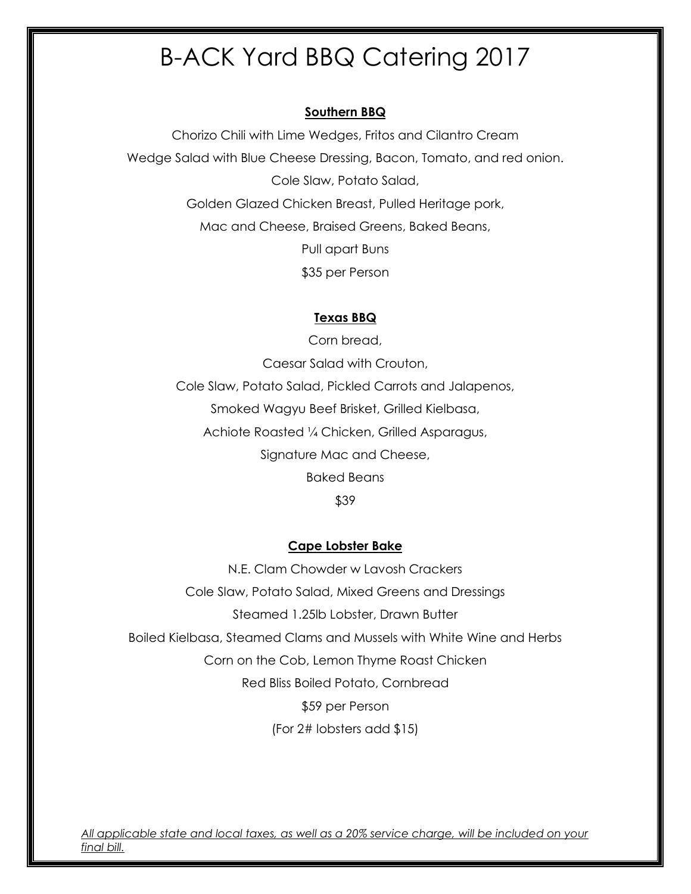#### **Southern BBQ**

Chorizo Chili with Lime Wedges, Fritos and Cilantro Cream Wedge Salad with Blue Cheese Dressing, Bacon, Tomato, and red onion. Cole Slaw, Potato Salad, Golden Glazed Chicken Breast, Pulled Heritage pork, Mac and Cheese, Braised Greens, Baked Beans, Pull apart Buns \$35 per Person

#### **Texas BBQ**

Corn bread, Caesar Salad with Crouton, Cole Slaw, Potato Salad, Pickled Carrots and Jalapenos, Smoked Wagyu Beef Brisket, Grilled Kielbasa, Achiote Roasted ¼ Chicken, Grilled Asparagus, Signature Mac and Cheese, Baked Beans

#### \$39

#### **Cape Lobster Bake**

N.E. Clam Chowder w Lavosh Crackers Cole Slaw, Potato Salad, Mixed Greens and Dressings Steamed 1.25lb Lobster, Drawn Butter Boiled Kielbasa, Steamed Clams and Mussels with White Wine and Herbs Corn on the Cob, Lemon Thyme Roast Chicken Red Bliss Boiled Potato, Cornbread \$59 per Person (For 2# lobsters add \$15)